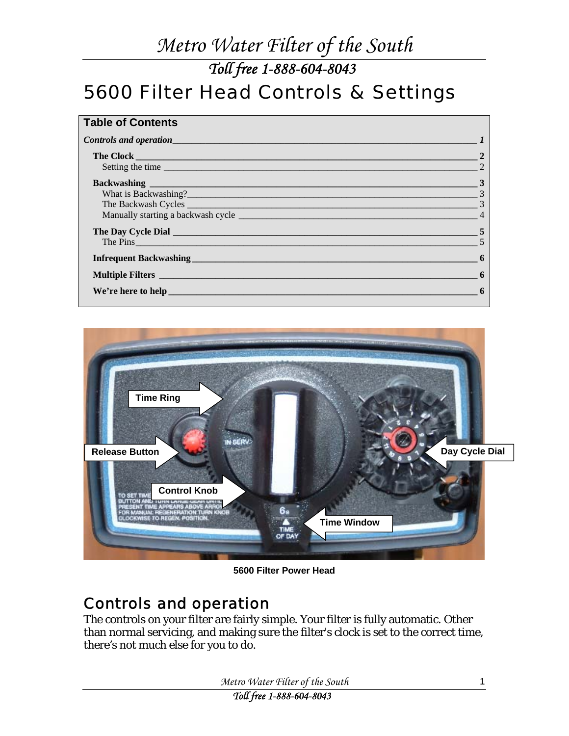*Toll free 1-888-604-8043* 

## <span id="page-0-0"></span>5600 Filter Head Controls & Settings

| <b>Table of Contents</b>                                                                                                                                                                                                             |                            |
|--------------------------------------------------------------------------------------------------------------------------------------------------------------------------------------------------------------------------------------|----------------------------|
|                                                                                                                                                                                                                                      |                            |
| The Clock <u>Contract of the Clock</u> Contract of the Clock Contract of the Clock Contract of the Clock                                                                                                                             |                            |
| Setting the time                                                                                                                                                                                                                     |                            |
| Backwashing <b>Executive Contract of the Contract of Contract Contract of Contract Oriental Contract of Contract Oriental Contract Oriental Contract Oriental Contract Oriental Contract Oriental Contract Oriental Contract Ori</b> | $\frac{1}{\sqrt{3}}$       |
| What is Backwashing?                                                                                                                                                                                                                 | $\sim$ 3                   |
|                                                                                                                                                                                                                                      |                            |
|                                                                                                                                                                                                                                      | $\overline{4}$             |
| The Day Cycle Dial <b>Exercise 2</b> and 2 and 2 and 2 and 2 and 2 and 2 and 2 and 2 and 2 and 2 and 2 and 2 and 2 and 2 and 2 and 2 and 2 and 2 and 2 and 2 and 2 and 2 and 2 and 2 and 2 and 2 and 2 and 2 and 2 and 2 and 2 and   | $\sim$ 5                   |
| The Pins                                                                                                                                                                                                                             |                            |
|                                                                                                                                                                                                                                      | $\overline{\phantom{0}}$ 6 |
|                                                                                                                                                                                                                                      | $\sim$ 6                   |
| We're here to help <b>with the contract of the contract of the contract of the contract of the contract of the contract of the contract of the contract of the contract of the contract of the contract of the contract of the c</b> | -6                         |
|                                                                                                                                                                                                                                      |                            |



**5600 Filter Power Head** 

### Controls and operation

The controls on your filter are fairly simple. Your filter is fully automatic. Other than normal servicing, and making sure the filter's clock is set to the correct time, there's not much else for you to do.

*Metro Water Filter of the South* 

*Toll free 1-888-604-8043*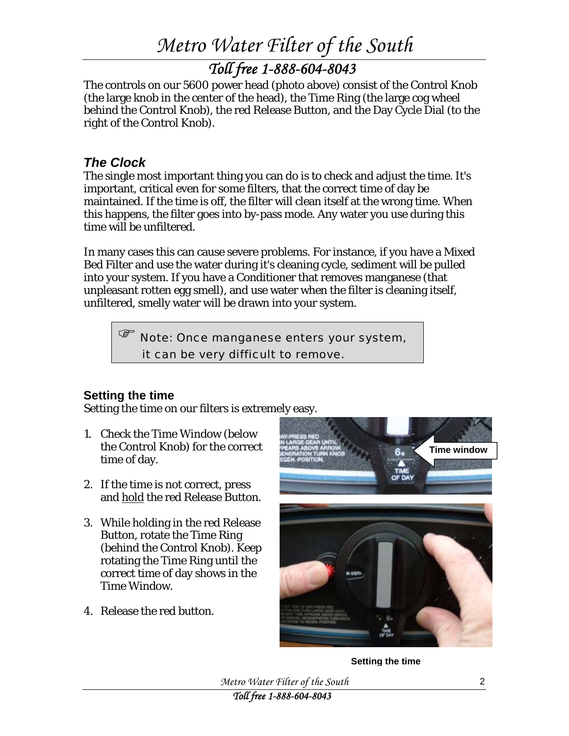### *Toll free 1-888-604-8043*

<span id="page-1-0"></span>The controls on our 5600 power head (photo above) consist of the Control Knob (the large knob in the center of the head), the Time Ring (the large cog wheel behind the Control Knob), the red Release Button, and the Day Cycle Dial (to the right of the Control Knob).

### *The Clock*

The single most important thing you can do is to check and adjust the time. It's important, critical even for some filters, that the correct time of day be maintained. If the time is off, the filter will clean itself at the wrong time. When this happens, the filter goes into by-pass mode. Any water you use during this time will be unfiltered.

In many cases this can cause severe problems. For instance, if you have a Mixed Bed Filter and use the water during it's cleaning cycle, sediment will be pulled into your system. If you have a Conditioner that removes manganese (that unpleasant rotten egg smell), and use water when the filter is cleaning itself, unfiltered, smelly water will be drawn into your system.

) Note: Once manganese enters your system, it can be very difficult to remove.

### **Setting the time**

Setting the time on our filters is extremely easy.

- 1. Check the Time Window (below the Control Knob) for the correct time of day.
- 2. If the time is not correct, press and hold the red Release Button.
- 3. While holding in the red Release Button, rotate the Time Ring (behind the Control Knob). Keep rotating the Time Ring until the correct time of day shows in the Time Window.
- 4. Release the red button.



**Setting the time** 

*Metro Water Filter of the South* 

*Toll free 1-888-604-8043*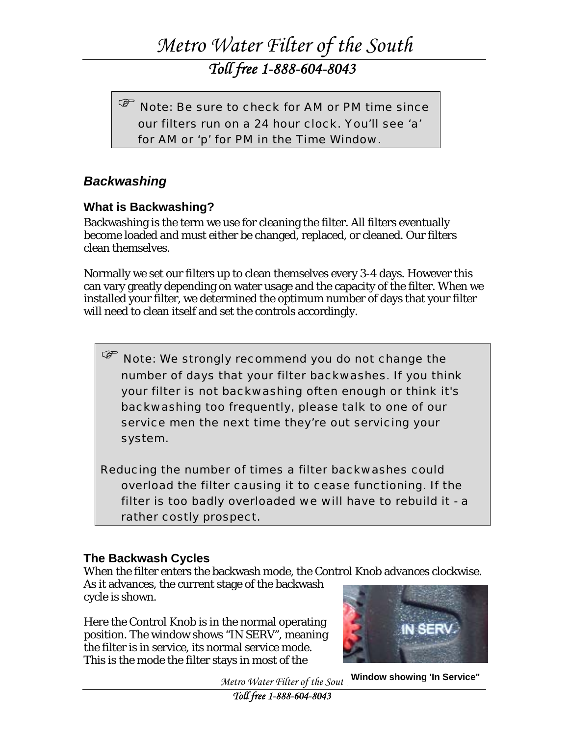*Toll free 1-888-604-8043* 

<span id="page-2-0"></span> $\sqrt{\mathscr{E}}$  Note: Be sure to check for AM or PM time since our filters run on a 24 hour clock. You'll see 'a' for AM or 'p' for PM in the Time Window.

### *Backwashing*

#### **What is Backwashing?**

Backwashing is the term we use for cleaning the filter. All filters eventually become loaded and must either be changed, replaced, or cleaned. Our filters clean themselves.

Normally we set our filters up to clean themselves every 3-4 days. However this can vary greatly depending on water usage and the capacity of the filter. When we installed your filter, we determined the optimum number of days that your filter will need to clean itself and set the controls accordingly.

 $\sqrt{\mathscr{E}}$  Note: We strongly recommend you do not change the number of days that your filter backwashes. If you think your filter is not backwashing often enough or think it's backwashing too frequently, please talk to one of our service men the next time they're out servicing your system.

Reducing the number of times a filter backwashes could overload the filter causing it to cease functioning. If the filter is too badly overloaded we will have to rebuild it - a rather costly prospect.

#### **The Backwash Cycles**

When the filter enters the backwash mode, the Control Knob advances clockwise.

As it advances, the current stage of the backwash cycle is shown.

Here the Control Knob is in the normal operating position. The window shows "IN SERV", meaning the filter is in service, its normal service mode. This is the mode the filter stays in most of the



**Window showing 'In Service"**

*Metro Water Filter of the Sout.*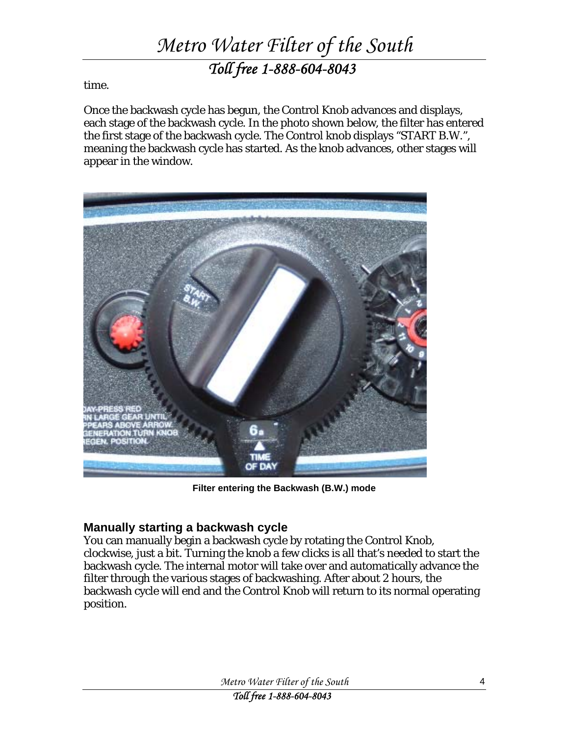## *Metro Water Filter of the South Toll free 1-888-604-8043*

<span id="page-3-0"></span>time.

Once the backwash cycle has begun, the Control Knob advances and displays, each stage of the backwash cycle. In the photo shown below, the filter has entered the first stage of the backwash cycle. The Control knob displays "START B.W.", meaning the backwash cycle has started. As the knob advances, other stages will appear in the window.



**Filter entering the Backwash (B.W.) mode**

#### **Manually starting a backwash cycle**

You can manually begin a backwash cycle by rotating the Control Knob, clockwise, just a bit. Turning the knob a few clicks is all that's needed to start the backwash cycle. The internal motor will take over and automatically advance the filter through the various stages of backwashing. After about 2 hours, the backwash cycle will end and the Control Knob will return to its normal operating position.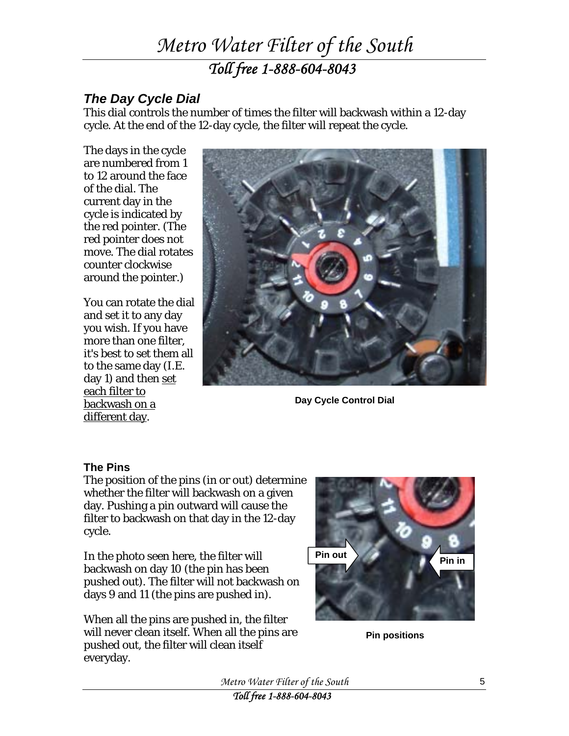## *Metro Water Filter of the South Toll free 1-888-604-8043*

### <span id="page-4-0"></span>*The Day Cycle Dial*

This dial controls the number of times the filter will backwash within a 12-day cycle. At the end of the 12-day cycle, the filter will repeat the cycle.

The days in the cycle are numbered from 1 to 12 around the face of the dial. The current day in the cycle is indicated by the red pointer. (The red pointer does not move. The dial rotates counter clockwise around the pointer.)

You can rotate the dial and set it to any day you wish. If you have more than one filter, it's best to set them all to the same day (I.E. day 1) and then set each filter to backwash on a different day.



**Day Cycle Control Dial** 

#### **The Pins**

The position of the pins (in or out) determine whether the filter will backwash on a given day. Pushing a pin outward will cause the filter to backwash on that day in the 12-day cycle.

In the photo seen here, the filter will backwash on day 10 (the pin has been pushed out). The filter will not backwash on days 9 and 11 (the pins are pushed in).

When all the pins are pushed in, the filter will never clean itself. When all the pins are pushed out, the filter will clean itself everyday.



**Pin positions** 

*Metro Water Filter of the South*